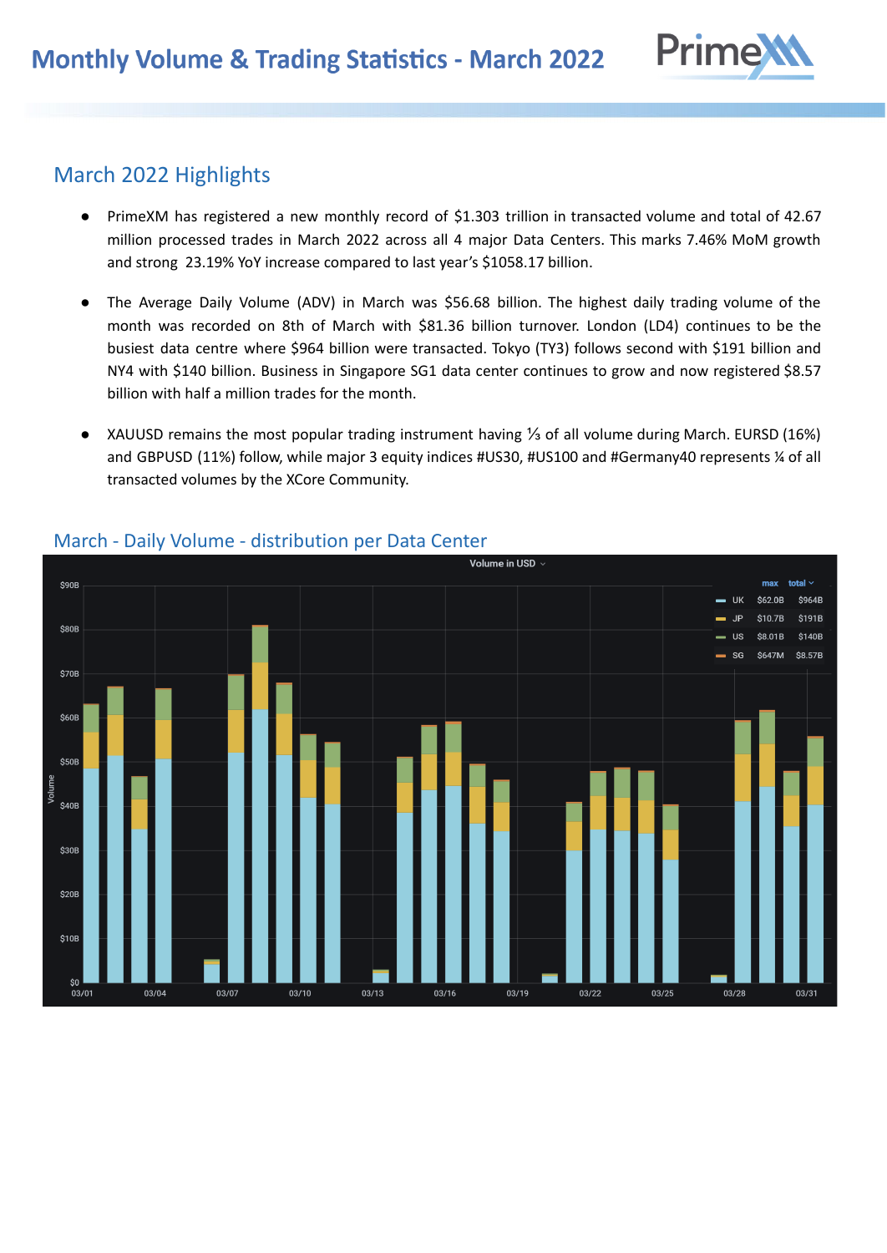

# March 2022 Highlights

- PrimeXM has registered a new monthly record of \$1.303 trillion in transacted volume and total of 42.67 million processed trades in March 2022 across all 4 major Data Centers. This marks 7.46% MoM growth and strong 23.19% YoY increase compared to last year's \$1058.17 billion.
- The Average Daily Volume (ADV) in March was \$56.68 billion. The highest daily trading volume of the month was recorded on 8th of March with \$81.36 billion turnover. London (LD4) continues to be the busiest data centre where \$964 billion were transacted. Tokyo (TY3) follows second with \$191 billion and NY4 with \$140 billion. Business in Singapore SG1 data center continues to grow and now registered \$8.57 billion with half a million trades for the month.
- XAUUSD remains the most popular trading instrument having ⅓ of all volume during March. EURSD (16%) and GBPUSD (11%) follow, while major 3 equity indices #US30, #US100 and #Germany40 represents % of all transacted volumes by the XCore Community.



#### March - Daily Volume - distribution per Data Center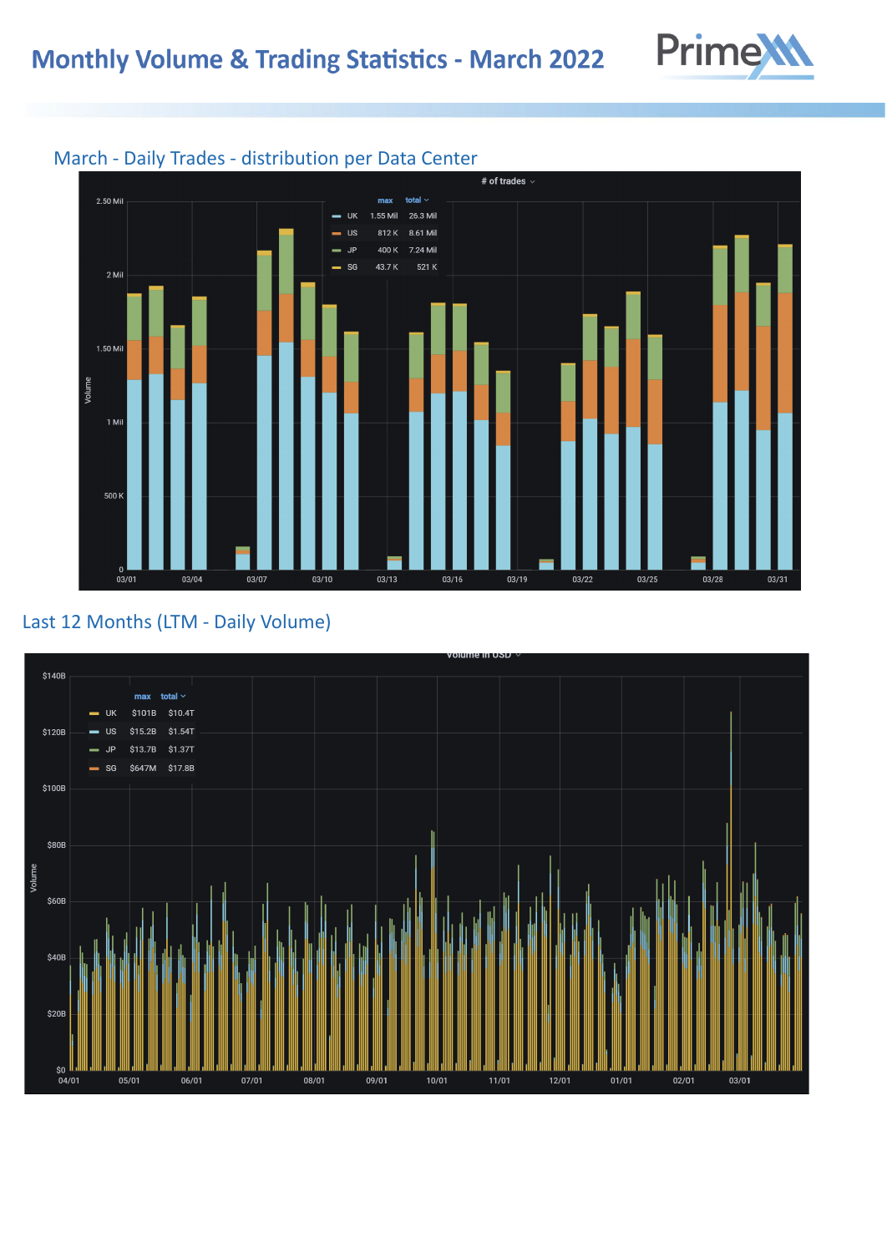



#### March - Daily Trades - distribution per Data Center

## Last 12 Months (LTM - Daily Volume)